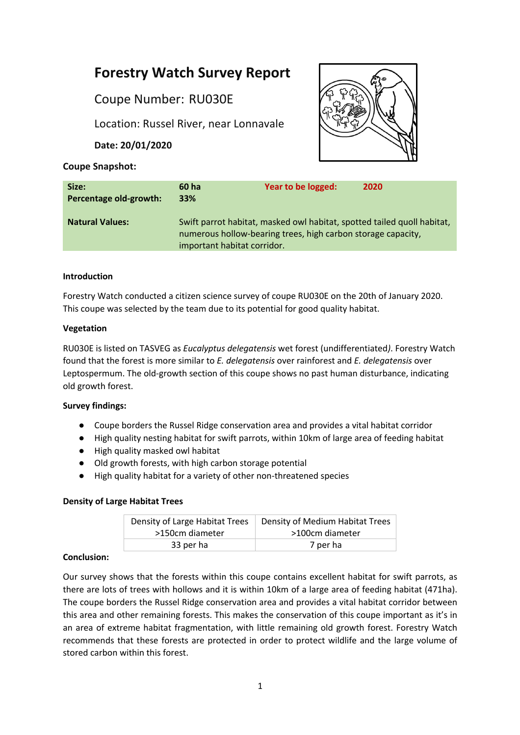# **Forestry Watch Survey Report**

Coupe Number: RU030E

Location: Russel River, near Lonnavale

**Date: 20/01/2020**



# **Coupe Snapshot:**

| Size:<br>Percentage old-growth: | 60 ha<br><b>33%</b>                                                                                                                                                    | Year to be logged: | 2020 |
|---------------------------------|------------------------------------------------------------------------------------------------------------------------------------------------------------------------|--------------------|------|
| <b>Natural Values:</b>          | Swift parrot habitat, masked owl habitat, spotted tailed quoll habitat,<br>numerous hollow-bearing trees, high carbon storage capacity,<br>important habitat corridor. |                    |      |

# **Introduction**

Forestry Watch conducted a citizen science survey of coupe RU030E on the 20th of January 2020. This coupe was selected by the team due to its potential for good quality habitat.

# **Vegetation**

RU030E is listed on TASVEG as *Eucalyptus delegatensis* wet forest (undifferentiated*)*. Forestry Watch found that the forest is more similar to *E. delegatensis* over rainforest and *E. delegatensis* over Leptospermum. The old-growth section of this coupe shows no past human disturbance, indicating old growth forest.

# **Survey findings:**

- Coupe borders the Russel Ridge conservation area and provides a vital habitat corridor
- High quality nesting habitat for swift parrots, within 10km of large area of feeding habitat
- High quality masked owl habitat
- Old growth forests, with high carbon storage potential
- High quality habitat for a variety of other non-threatened species

# **Density of Large Habitat Trees**

| Density of Large Habitat Trees | Density of Medium Habitat Trees |  |
|--------------------------------|---------------------------------|--|
| >150cm diameter                | >100cm diameter                 |  |
| 33 per ha                      | 7 per ha                        |  |

# **Conclusion:**

Our survey shows that the forests within this coupe contains excellent habitat for swift parrots, as there are lots of trees with hollows and it is within 10km of a large area of feeding habitat (471ha). The coupe borders the Russel Ridge conservation area and provides a vital habitat corridor between this area and other remaining forests. This makes the conservation of this coupe important as it's in an area of extreme habitat fragmentation, with little remaining old growth forest. Forestry Watch recommends that these forests are protected in order to protect wildlife and the large volume of stored carbon within this forest.